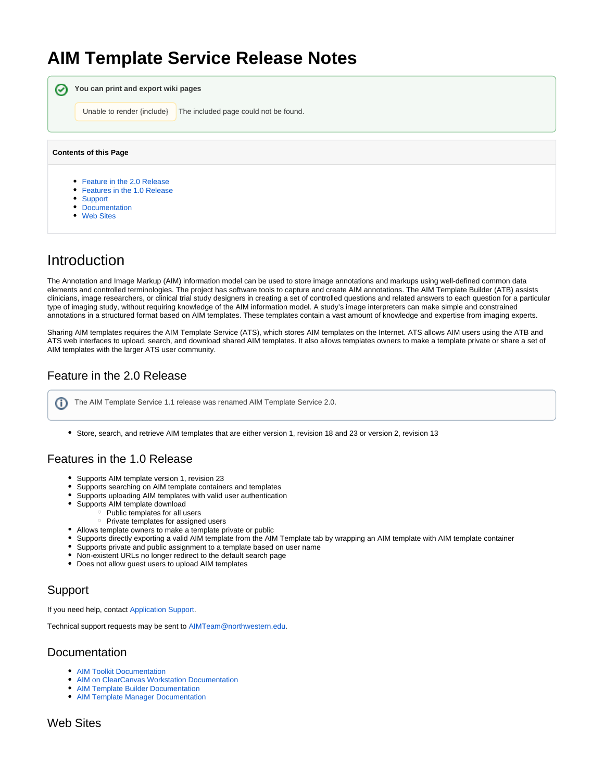# **AIM Template Service Release Notes**

| ✅                            | You can print and export wiki pages                                        |
|------------------------------|----------------------------------------------------------------------------|
|                              | Unable to render {include}<br>The included page could not be found.        |
|                              |                                                                            |
| <b>Contents of this Page</b> |                                                                            |
|                              | • Feature in the 2.0 Release<br>• Features in the 1.0 Release<br>• Support |
|                              | • Documentation<br>• Web Sites                                             |

## Introduction

The Annotation and Image Markup (AIM) information model can be used to store image annotations and markups using well-defined common data elements and controlled terminologies. The project has software tools to capture and create AIM annotations. The AIM Template Builder (ATB) assists clinicians, image researchers, or clinical trial study designers in creating a set of controlled questions and related answers to each question for a particular type of imaging study, without requiring knowledge of the AIM information model. A study's image interpreters can make simple and constrained annotations in a structured format based on AIM templates. These templates contain a vast amount of knowledge and expertise from imaging experts.

Sharing AIM templates requires the AIM Template Service (ATS), which stores AIM templates on the Internet. ATS allows AIM users using the ATB and ATS web interfaces to upload, search, and download shared AIM templates. It also allows templates owners to make a template private or share a set of AIM templates with the larger ATS user community.

### <span id="page-0-0"></span>Feature in the 2.0 Release

The AIM Template Service 1.1 release was renamed AIM Template Service 2.0.൹

Store, search, and retrieve AIM templates that are either version 1, revision 18 and 23 or version 2, revision 13

#### <span id="page-0-1"></span>Features in the 1.0 Release

- Supports AIM template version 1, revision 23
- Supports searching on AIM template containers and templates
- Supports uploading AIM templates with valid user authentication
- $\bullet$ Supports AIM template download
	- $\circ$  Public templates for all users
		- $\circ$  Private templates for assigned users
- Allows template owners to make a template private or public
- Supports directly exporting a valid AIM template from the AIM Template tab by wrapping an AIM template with AIM template container
- Supports private and public assignment to a template based on user name
- Non-existent URLs no longer redirect to the default search page
- Does not allow guest users to upload AIM templates

#### <span id="page-0-2"></span>Support

If you need help, contact [Application Support.](mailto:ncicb@pop.nci.nih.gov)

Technical support requests may be sent to [AIMTeam@northwestern.edu](mailto:AIMTeam@northwestern.edu).

#### <span id="page-0-3"></span>Documentation

- [AIM Toolkit Documentation](https://wiki.nci.nih.gov/display/AIM/AIM+Toolkit+Documentation)
- [AIM on ClearCanvas Workstation Documentation](https://wiki.nci.nih.gov/display/AIM/AIM+on+ClearCanvas+Workstation+Documentation)
- [AIM Template Builder Documentation](https://wiki.nci.nih.gov/display/AIM/AIM+Template+Builder+Documentation)
- <span id="page-0-4"></span>[AIM Template Manager Documentation](https://wiki.nci.nih.gov/display/AIM/AIM+Template+Manager+Documentation)